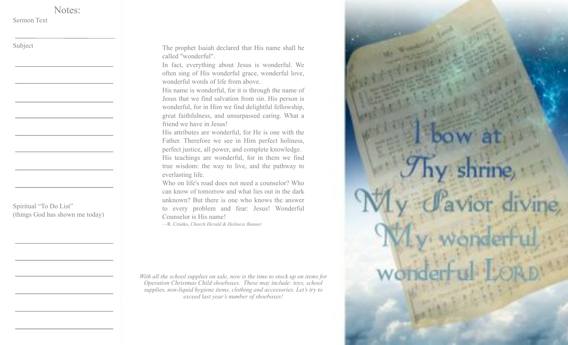Sermon Text

Subject

The prophet Isaiah declared that His name shall be called "wonderful".

In fact, everything about Jesus is wonderful. We often sing of His wonderful grace, wonderful love, wonderful words of life from above.

His name is wonderful, for it is through the name of Jesus that we find salvation from sin. His person is wonderful, for in Him we find delightful fellowship, great faithfulness, and unsurpassed caring. What a friend we have in Jesus!

His attributes are wonderful, for He is one with the Father. Therefore we see in Him perfect holiness, perfect justice, all power, and complete knowledge. His teachings are wonderful, for in them we find true wisdom: the way to live, and the pathway to everlasting life.

Who on life's road does not need a counselor? Who can know of tomorrow and what lies out in the dark unknown? But there is one who knows the answer to every problem and fear: Jesus! Wonderful Counselor is His name!

—R. Crooks, *Church Herald & Holiness Banner*

*With all the school supplies on sale, now is the time to stock up on items for Operation Christmas Child shoeboxes. These may include: toys, school supplies, non-liquid hygiene items, clothing and accessories. Let's try to exceed last year's number of shoeboxes!*



Spiritual "To Do List" (things God has shown me today)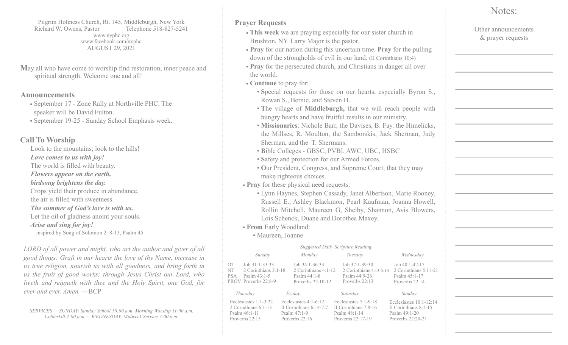Pilgrim Holiness Church, Rt. 145, Middleburgh, New York Richard W. Owens, Pastor Telephone 518-827-5241 www.nyphc.org www.facebook.com/nyphc AUGUST 29, 2021

**M**ay all who have come to worship find restoration, inner peace and spiritual strength. Welcome one and all!

## **Announcements**

- September 17 Zone Rally at Northville PHC. The speaker will be David Fulton.
- September 19-25 Sunday School Emphasis week.

## **Call To Worship**

Look to the mountains; look to the hills! *Love comes to us with joy!* The world is filled with beauty. *Flowers appear on the earth, birdsong brightens the day.* Crops yield their produce in abundance, the air is filled with sweetness. *The summer of God's love is with us.* Let the oil of gladness anoint your souls. *Arise and sing for joy!* —inspired by Song of Solomon 2: 8-13, Psalm 45

*LORD of all power and might, who art the author and giver of all good things: Graft in our hearts the love of thy Name, increase in us true religion, nourish us with all goodness, and bring forth in us the fruit of good works; through Jesus Christ our Lord, who liveth and reigneth with thee and the Holy Spirit, one God, for ever and ever. Amen.* —BCP

*SERVICES — SUNDAY: Sunday School 10:00 a.m. Morning Worship 11:00 a.m. Cobleskill 4:00 p.m.— WEDNESDAY: Midweek Service 7:00 p.m.*

## **Prayer Requests**

- **This week** we are praying especially for our sister church in Brushton, NY. Larry Major is the pastor.
- **Pray** for our nation during this uncertain time. **Pray** for the pulling down of the strongholds of evil in our land. (II Corinthians 10:4)
- **Pray** for the persecuted church, and Christians in danger all over the world.
- **Continue** to pray for:
	- **S**pecial requests for those on our hearts, especially Byron S., Rowan S., Bernie, and Steven H.
	- **T**he village of **Middleburgh,** that we will reach people with hungry hearts and have fruitful results in our ministry.
	- **Missionaries**: Nichole Barr, the Davises, B. Fay. the Himelicks, the Millses, R. Moulton, the Samborskis, Jack Sherman, Judy Sherman, and the T. Shermans.
	- **B**ible Colleges GBSC, PVBI, AWC, UBC, HSBC
	- **S**afety and protection for our Armed Forces.
	- **O**ur President, Congress, and Supreme Court, that they may make righteous choices.
- **Pray** for these physical need requests:
	- Lynn Haynes, Stephen Cassady, Janet Albertson, Marie Rooney, Russell E., Ashley Blackmon, Pearl Kaufman, Joanna Howell, Rollin Mitchell, Maureen G, Shelby, Shannon, Avis Blowers, Lois Schenck, Duane and Dorothea Maxey.
- **From** Early Woodland:
	- Maureen, Joanne.

| <b>Suggested Daily Scripture Reading</b> |                                                                                      |  |                                                                                            |  |                                                                                          |                                                                                              |  |  |  |
|------------------------------------------|--------------------------------------------------------------------------------------|--|--------------------------------------------------------------------------------------------|--|------------------------------------------------------------------------------------------|----------------------------------------------------------------------------------------------|--|--|--|
|                                          | Sunday                                                                               |  | Monday                                                                                     |  | Tuesday                                                                                  | Wednesdav                                                                                    |  |  |  |
| OT<br><b>NT</b><br><b>PSA</b>            | Job 31:1-33:33<br>2 Corinthians 3:1-18<br>Psalm $43:1-5$<br>PROV Proverbs 22:8-9     |  | Job 34:1-36:33<br>2 Corinthians 4:1-12<br>Psalm $44:1-8$<br>Proverbs $22 \cdot 10 - 12$    |  | Job 37:1-39:30<br>2 Corinthians 4:13-5:10<br>Psalm 44:9-26<br>Proverbs $22:13$           | Job $40:1-42:17$<br>2 Corinthians 5:11-21<br>Psalm 45:1-17<br>Proverbs 22:14                 |  |  |  |
|                                          | Thursday                                                                             |  | Friday                                                                                     |  | Saturday                                                                                 | Sunday                                                                                       |  |  |  |
|                                          | Ecclesiastes $1:1-3:22$<br>2 Corinthians 6:1-13<br>Psalm 46:1-11<br>Proverbs $22:15$ |  | Ecclesiastes $4:1-6:12$<br>II Corinthians $6:14-7:7$<br>Psalm $47:1-9$<br>Proverbs $22:16$ |  | Ecclesiastes $7:1-9:18$<br>II Corinthians 7:8-16<br>Psalm $48:1-14$<br>Proverbs 22:17-19 | Ecclesiastes $10:1-12:14$<br>II Corinthians 8:1-15<br>Psalm $49:1-20$<br>Proverbs $22:20-21$ |  |  |  |

## Notes:

Other announcements & prayer requests